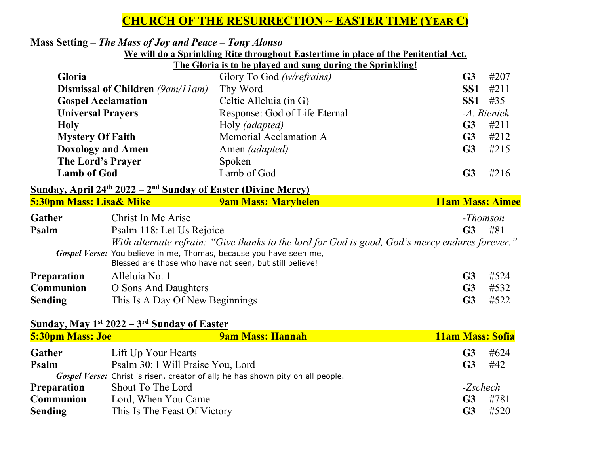# **CHURCH OF THE RESURRECTION ~ EASTER TIME (YEAR C)**

### **Mass Setting –** *The Mass of Joy and Peace – Tony Alonso*

#### **We will do a Sprinkling Rite throughout Eastertime in place of the Penitential Act.**

**The Gloria is to be played and sung during the Sprinkling!** 

| 5:30pm Mass: Lisa& Mike                                                               | <b>9am Mass: Maryhelen</b>    | <b>11am Mass: Aimee</b> |  |
|---------------------------------------------------------------------------------------|-------------------------------|-------------------------|--|
| Sunday, April 24 <sup>th</sup> 2022 – 2 <sup>nd</sup> Sunday of Easter (Divine Mercy) |                               |                         |  |
| <b>Lamb of God</b>                                                                    | Lamb of God                   | #216<br>G <sub>3</sub>  |  |
| The Lord's Prayer                                                                     | Spoken                        |                         |  |
| <b>Doxology and Amen</b>                                                              | Amen <i>(adapted)</i>         | G <sub>3</sub><br>#215  |  |
| <b>Mystery Of Faith</b>                                                               | Memorial Acclamation A        | #212<br>G <sub>3</sub>  |  |
| <b>Holy</b>                                                                           | Holy (adapted)                | #211<br>G <sub>3</sub>  |  |
| <b>Universal Prayers</b>                                                              | Response: God of Life Eternal | -A. Bieniek             |  |
| <b>Gospel Acclamation</b>                                                             | Celtic Alleluia (in G)        | SS1<br>#35              |  |
| <b>Dismissal of Children</b> (9am/11am)                                               | Thy Word                      | #211<br>SS1             |  |
| <b>Gloria</b>                                                                         | Glory To God (w/refrains)     | #207<br>G <sub>3</sub>  |  |

| Gather             | Christ In Me Arise                                                                              |                | -Thomson |
|--------------------|-------------------------------------------------------------------------------------------------|----------------|----------|
| Psalm              | Psalm 118: Let Us Rejoice                                                                       | <b>G3</b>      | #81      |
|                    | With alternate refrain: "Give thanks to the lord for God is good, God's mercy endures forever." |                |          |
|                    | Gospel Verse: You believe in me, Thomas, because you have seen me,                              |                |          |
|                    | Blessed are those who have not seen, but still believe!                                         |                |          |
| <b>Preparation</b> | Alleluia No. 1                                                                                  | G3             | #524     |
| <b>Communion</b>   | O Sons And Daughters                                                                            | G <sub>3</sub> | #532     |
| <b>Sending</b>     | This Is A Day Of New Beginnings                                                                 |                | #522     |

#### **Sunday, May 1st 2022 – 3rd Sunday of Easter**

| <b>5:30pm Mass: Joe</b> | <b>9am Mass: Hannah</b>                                                         | <b>11am Mass: Sofia</b> |          |
|-------------------------|---------------------------------------------------------------------------------|-------------------------|----------|
| Gather                  | Lift Up Your Hearts                                                             | G3                      | #624     |
| Psalm                   | Psalm 30: I Will Praise You, Lord                                               | G3                      | #42      |
|                         | Gospel Verse: Christ is risen, creator of all; he has shown pity on all people. |                         |          |
| <b>Preparation</b>      | Shout To The Lord                                                               |                         | -Zschech |
| <b>Communion</b>        | Lord, When You Came                                                             | G <sub>3</sub>          | #781     |
| <b>Sending</b>          | This Is The Feast Of Victory                                                    | G3                      | #520     |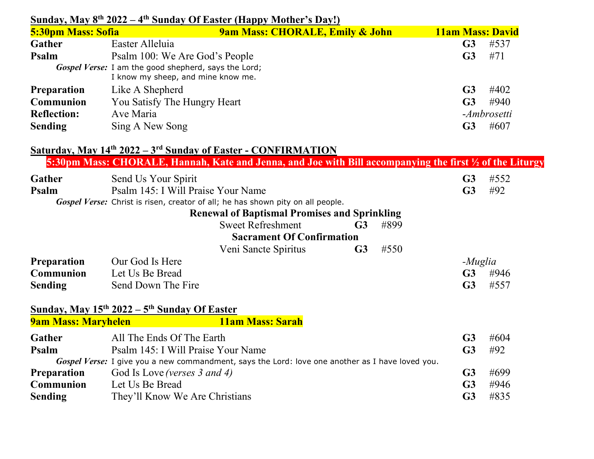| <b>5:30pm Mass: Sofia</b><br><b>9am Mass: CHORALE, Emily &amp; John</b><br>Easter Alleluia<br>Gather<br>Psalm<br>Psalm 100: We Are God's People<br>Gospel Verse: I am the good shepherd, says the Lord; | G <sub>3</sub><br>G <sub>3</sub> | <b>11am Mass: David</b><br>#537 |
|---------------------------------------------------------------------------------------------------------------------------------------------------------------------------------------------------------|----------------------------------|---------------------------------|
|                                                                                                                                                                                                         |                                  |                                 |
|                                                                                                                                                                                                         |                                  |                                 |
|                                                                                                                                                                                                         |                                  | #71                             |
| I know my sheep, and mine know me.                                                                                                                                                                      |                                  |                                 |
| Like A Shepherd<br><b>Preparation</b>                                                                                                                                                                   | G <sub>3</sub>                   | #402                            |
| Communion<br>You Satisfy The Hungry Heart                                                                                                                                                               | G <sub>3</sub>                   | #940                            |
| <b>Reflection:</b><br>Ave Maria                                                                                                                                                                         |                                  | -Ambrosetti                     |
| Sing A New Song<br><b>Sending</b>                                                                                                                                                                       | G <sub>3</sub>                   | #607                            |
| <u>Saturday, May 14<sup>th</sup> 2022 – 3<sup>rd</sup> Sunday of Easter - CONFIRMATION</u>                                                                                                              |                                  |                                 |
| 5:30pm Mass: CHORALE, Hannah, Kate and Jenna, and Joe with Bill accompanying the first ½ of the Liturgy                                                                                                 |                                  |                                 |
| Gather<br>Send Us Your Spirit                                                                                                                                                                           | G <sub>3</sub>                   | #552                            |
| Psalm<br>Psalm 145: I Will Praise Your Name                                                                                                                                                             | G <sub>3</sub>                   | #92                             |
| Gospel Verse: Christ is risen, creator of all; he has shown pity on all people.                                                                                                                         |                                  |                                 |
| <b>Renewal of Baptismal Promises and Sprinkling</b>                                                                                                                                                     |                                  |                                 |
| <b>Sweet Refreshment</b><br>#899<br>G <sub>3</sub>                                                                                                                                                      |                                  |                                 |
| <b>Sacrament Of Confirmation</b>                                                                                                                                                                        |                                  |                                 |
| #550<br>G <sub>3</sub><br>Veni Sancte Spiritus                                                                                                                                                          |                                  |                                 |
| <b>Preparation</b><br>Our God Is Here                                                                                                                                                                   | -Muglia                          |                                 |
| Communion<br>Let Us Be Bread                                                                                                                                                                            | G <sub>3</sub>                   | #946                            |
| Send Down The Fire<br><b>Sending</b>                                                                                                                                                                    | G <sub>3</sub>                   | #557                            |
| Sunday, May $15^{th}$ 2022 – $5^{th}$ Sunday Of Easter                                                                                                                                                  |                                  |                                 |
| <b>11am Mass: Sarah</b><br><b>9am Mass: Maryhelen</b>                                                                                                                                                   |                                  |                                 |
| <b>Gather</b><br>All The Ends Of The Earth                                                                                                                                                              | G <sub>3</sub>                   | #604                            |
| Psalm 145: I Will Praise Your Name<br>Psalm                                                                                                                                                             | G <sub>3</sub>                   | #92                             |
| Gospel Verse: I give you a new commandment, says the Lord: love one another as I have loved you.                                                                                                        |                                  |                                 |
| <b>Preparation</b><br>God Is Love (verses 3 and 4)                                                                                                                                                      | G <sub>3</sub>                   | #699                            |
| Communion<br>Let Us Be Bread                                                                                                                                                                            | G <sub>3</sub>                   | #946                            |
| <b>Sending</b><br>They'll Know We Are Christians                                                                                                                                                        | G <sub>3</sub>                   | #835                            |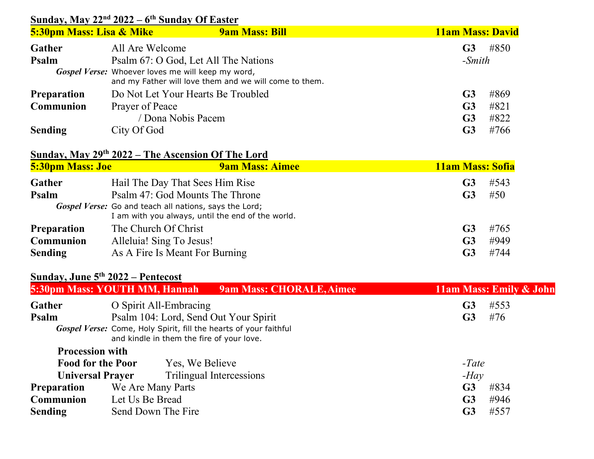### **Sunday, May 22nd 2022 – 6th Sunday Of Easter**

| <b>5:30pm Mass: Lisa &amp; Mike</b> | <b>9am Mass: Bill</b>                                                                                       | <b>11am Mass: David</b> |
|-------------------------------------|-------------------------------------------------------------------------------------------------------------|-------------------------|
| Gather                              | All Are Welcome                                                                                             | #850<br>G <sub>3</sub>  |
| Psalm                               | Psalm 67: O God, Let All The Nations                                                                        | $-Smith$                |
|                                     | Gospel Verse: Whoever loves me will keep my word,<br>and my Father will love them and we will come to them. |                         |
| <b>Preparation</b>                  | Do Not Let Your Hearts Be Troubled                                                                          | #869<br>G <sub>3</sub>  |
| Communion                           | Prayer of Peace                                                                                             | #821<br>G <sub>3</sub>  |
|                                     | / Dona Nobis Pacem                                                                                          | #822<br>G <sub>3</sub>  |
| <b>Sending</b>                      | City Of God                                                                                                 | #766<br>G3              |

# **Sunday, May 29th 2022 – The Ascension Of The Lord**

| <b>5:30pm Mass: Joe</b> | <b>9am Mass: Aimee</b>                                                                                      | <b>11am Mass: Sofia</b> |      |
|-------------------------|-------------------------------------------------------------------------------------------------------------|-------------------------|------|
| Gather                  | Hail The Day That Sees Him Rise                                                                             | G3                      | #543 |
| Psalm                   | Psalm 47: God Mounts The Throne                                                                             | G <sub>3</sub>          | #50  |
|                         | Gospel Verse: Go and teach all nations, says the Lord;<br>I am with you always, until the end of the world. |                         |      |
| <b>Preparation</b>      | The Church Of Christ                                                                                        | G <sub>3</sub>          | #765 |
| Communion               | Alleluia! Sing To Jesus!                                                                                    | G <sub>3</sub>          | #949 |
| <b>Sending</b>          | As A Fire Is Meant For Burning                                                                              | G3                      | #744 |

## **Sunday, June 5th 2022 – Pentecost**

|                          | 5:30pm Mass: YOUTH MM, Hannah<br><b>9am Mass: CHORALE, Aimee</b>                                               | 11am Mass: Emily & John |
|--------------------------|----------------------------------------------------------------------------------------------------------------|-------------------------|
| Gather                   | O Spirit All-Embracing                                                                                         | #553<br>G <sub>3</sub>  |
| Psalm                    | Psalm 104: Lord, Send Out Your Spirit                                                                          | #76<br>G <sub>3</sub>   |
|                          | Gospel Verse: Come, Holy Spirit, fill the hearts of your faithful<br>and kindle in them the fire of your love. |                         |
| <b>Procession with</b>   |                                                                                                                |                         |
| <b>Food for the Poor</b> | Yes, We Believe                                                                                                | $-Tate$                 |
| <b>Universal Prayer</b>  | Trilingual Intercessions                                                                                       | $-Hav$                  |
| <b>Preparation</b>       | We Are Many Parts                                                                                              | #834<br>G <sub>3</sub>  |
| Communion                | Let Us Be Bread                                                                                                | #946<br>G <sub>3</sub>  |
| <b>Sending</b>           | Send Down The Fire                                                                                             | #557<br>G3              |